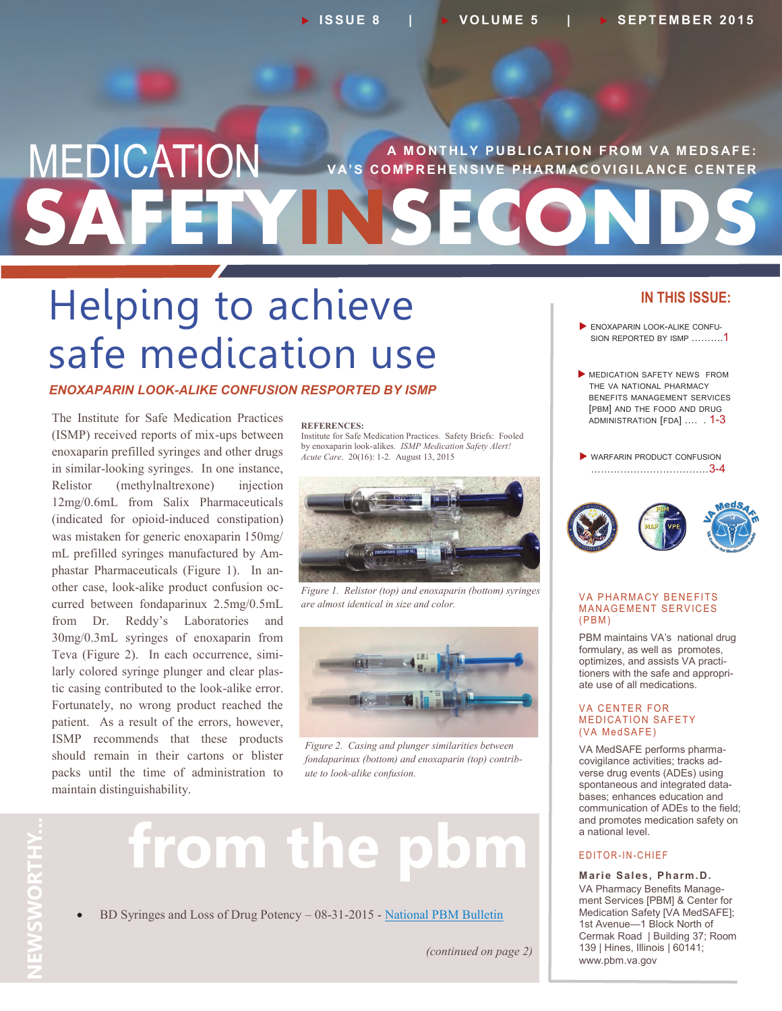## **SAFETYINSECONDS MEDICATION** VA'S COMPREHENSIVE PHARMACOVIGILANCE CENTER **'S COMPREHENSIVE PHARMACOVIGILANCE CENTER**

## Helping to achieve safe medication use

#### *ENOXAPARIN LOOK-ALIKE CONFUSION RESPORTED BY ISMP*

The Institute for Safe Medication Practices (ISMP) received reports of mix-ups between enoxaparin prefilled syringes and other drugs in similar-looking syringes. In one instance, Relistor (methylnaltrexone) injection 12mg/0.6mL from Salix Pharmaceuticals (indicated for opioid-induced constipation) was mistaken for generic enoxaparin 150mg/ mL prefilled syringes manufactured by Amphastar Pharmaceuticals (Figure 1). In another case, look-alike product confusion occurred between fondaparinux 2.5mg/0.5mL from Dr. Reddy's Laboratories and 30mg/0.3mL syringes of enoxaparin from Teva (Figure 2). In each occurrence, similarly colored syringe plunger and clear plastic casing contributed to the look-alike error. Fortunately, no wrong product reached the patient. As a result of the errors, however, ISMP recommends that these products should remain in their cartons or blister packs until the time of administration to maintain distinguishability.

#### **REFERENCES:**

Institute for Safe Medication Practices. Safety Briefs: Fooled by enoxaparin look-alikes*. ISMP Medication Safety Alert! Acute Care*. 20(16): 1-2. August 13, 2015



*Figure 1. Relistor (top) and enoxaparin (bottom) syringes are almost identical in size and color.*



*Figure 2. Casing and plunger similarities between fondaparinux (bottom) and enoxaparin (top) contribute to look-alike confusion.*

# **NEWSWORTHY...** VEWSWORTHY

## **from the pbm**

BD Syringes and Loss of Drug Potency – 08-31-2015 - [National PBM Bulletin](http://www.pbm.va.gov/PBM/vacenterformedicationsafety/nationalpbmbulletin/BD_Syringes_and_Loss_of_Drug_Potency_NATIONAL_PBM_BULLETIN_FINAL_083115.pdf)

*(continued on page 2)*

#### **IN THIS ISSUE:**

- ENOXAPARIN LOOK-ALIKE CONFU-SION REPORTED BY ISMP ……….1
- MEDICATION SAFETY NEWS FROM THE VA NATIONAL PHARMACY BENEFITS MANAGEMENT SERVICES [PBM] AND THE FOOD AND DRUG ADMINISTRATION [FDA] .… . 1-3
- WARFARIN PRODUCT CONFUSION ………………………………3-4



#### **VA PHARMACY BENEFITS MANAGEMENT SERVICES**  $(PBM)$

PBM maintains VA's national drug formulary, as well as promotes, optimizes, and assists VA practitioners with the safe and appropriate use of all medications.

#### **VA CENTER FOR MEDICATION SAFETY** (VA MedSAFE)

VA MedSAFE performs pharmacovigilance activities; tracks adverse drug events (ADEs) using spontaneous and integrated databases; enhances education and communication of ADEs to the field; and promotes medication safety on a national level.

#### E DITOR-IN-CHIEF

**Marie Sales, Pharm.D.** VA Pharmacy Benefits Management Services [PBM] & Center for Medication Safety [VA MedSAFE]; 1st Avenue—1 Block North of Cermak Road | Building 37; Room 139 | Hines, Illinois | 60141; www.pbm.va.gov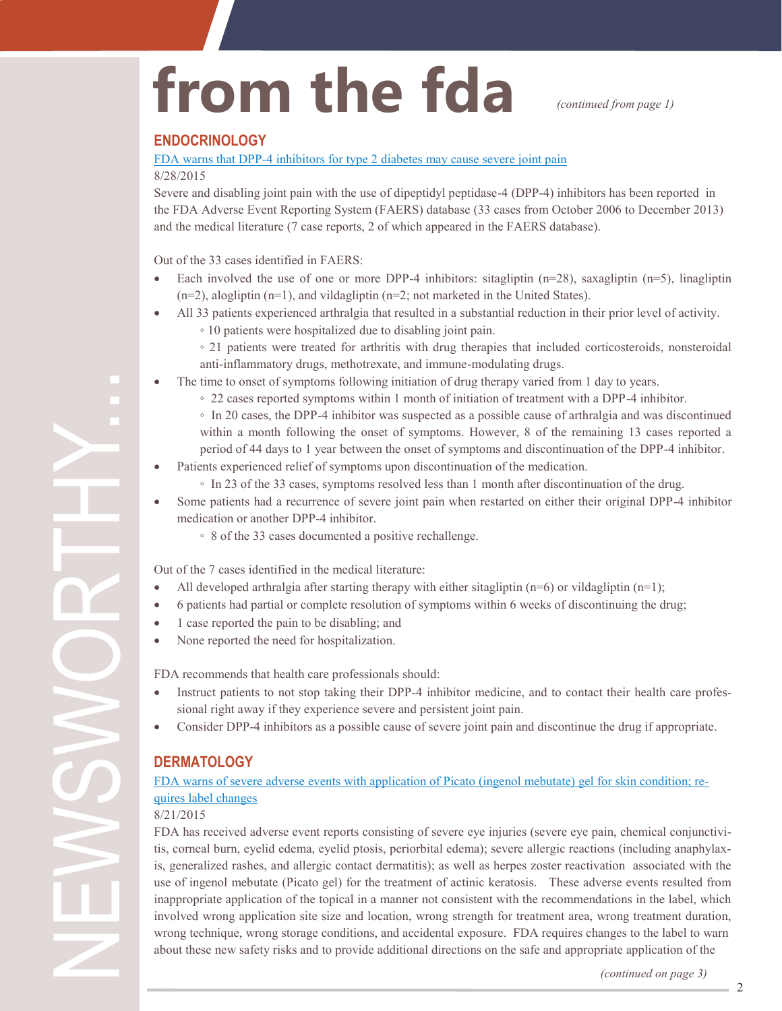# from the fda *continued from page 1)*

#### **ENDOCRINOLOGY**

#### FDA warns that DPP-[4 inhibitors for type 2 diabetes may cause severe joint pain](http://www.fda.gov/Drugs/DrugSafety/ucm459579.htm)

#### 8/28/2015

Severe and disabling joint pain with the use of dipeptidyl peptidase-4 (DPP-4) inhibitors has been reported in the FDA Adverse Event Reporting System (FAERS) database (33 cases from October 2006 to December 2013) and the medical literature (7 case reports, 2 of which appeared in the FAERS database).

Out of the 33 cases identified in FAERS:

- Each involved the use of one or more DPP-4 inhibitors: sitagliptin  $(n=28)$ , saxagliptin  $(n=5)$ , linagliptin (n=2), alogliptin (n=1), and vildagliptin (n=2; not marketed in the United States).
- All 33 patients experienced arthralgia that resulted in a substantial reduction in their prior level of activity.
	- 10 patients were hospitalized due to disabling joint pain.
	- 21 patients were treated for arthritis with drug therapies that included corticosteroids, nonsteroidal anti-inflammatory drugs, methotrexate, and immune-modulating drugs.
- The time to onset of symptoms following initiation of drug therapy varied from 1 day to years.
	- 22 cases reported symptoms within 1 month of initiation of treatment with a DPP-4 inhibitor.
	- In 20 cases, the DPP-4 inhibitor was suspected as a possible cause of arthralgia and was discontinued within a month following the onset of symptoms. However, 8 of the remaining 13 cases reported a period of 44 days to 1 year between the onset of symptoms and discontinuation of the DPP-4 inhibitor.
- Patients experienced relief of symptoms upon discontinuation of the medication.
	- In 23 of the 33 cases, symptoms resolved less than 1 month after discontinuation of the drug.
- Some patients had a recurrence of severe joint pain when restarted on either their original DPP-4 inhibitor medication or another DPP-4 inhibitor.
	- 8 of the 33 cases documented a positive rechallenge.

Out of the 7 cases identified in the medical literature:

- All developed arthralgia after starting therapy with either sitagliptin  $(n=6)$  or vildagliptin  $(n=1)$ ;
- 6 patients had partial or complete resolution of symptoms within 6 weeks of discontinuing the drug;
- 1 case reported the pain to be disabling; and
- None reported the need for hospitalization.

FDA recommends that health care professionals should:

- Instruct patients to not stop taking their DPP-4 inhibitor medicine, and to contact their health care professional right away if they experience severe and persistent joint pain.
- Consider DPP-4 inhibitors as a possible cause of severe joint pain and discontinue the drug if appropriate.

#### **DERMATOLOGY**

#### [FDA warns of severe adverse events with application of Picato \(ingenol mebutate\) gel for skin condition; re](http://www.fda.gov/Drugs/DrugSafety/ucm459142.htm)[quires label changes](http://www.fda.gov/Drugs/DrugSafety/ucm459142.htm)

8/21/2015

NEWSWORTHY...

FDA has received adverse event reports consisting of severe eye injuries (severe eye pain, chemical conjunctivitis, corneal burn, eyelid edema, eyelid ptosis, periorbital edema); severe allergic reactions (including anaphylaxis, generalized rashes, and allergic contact dermatitis); as well as herpes zoster reactivation associated with the use of ingenol mebutate (Picato gel) for the treatment of actinic keratosis. These adverse events resulted from inappropriate application of the topical in a manner not consistent with the recommendations in the label, which involved wrong application site size and location, wrong strength for treatment area, wrong treatment duration, wrong technique, wrong storage conditions, and accidental exposure. FDA requires changes to the label to warn about these new safety risks and to provide additional directions on the safe and appropriate application of the

*(continued on page 3)*

2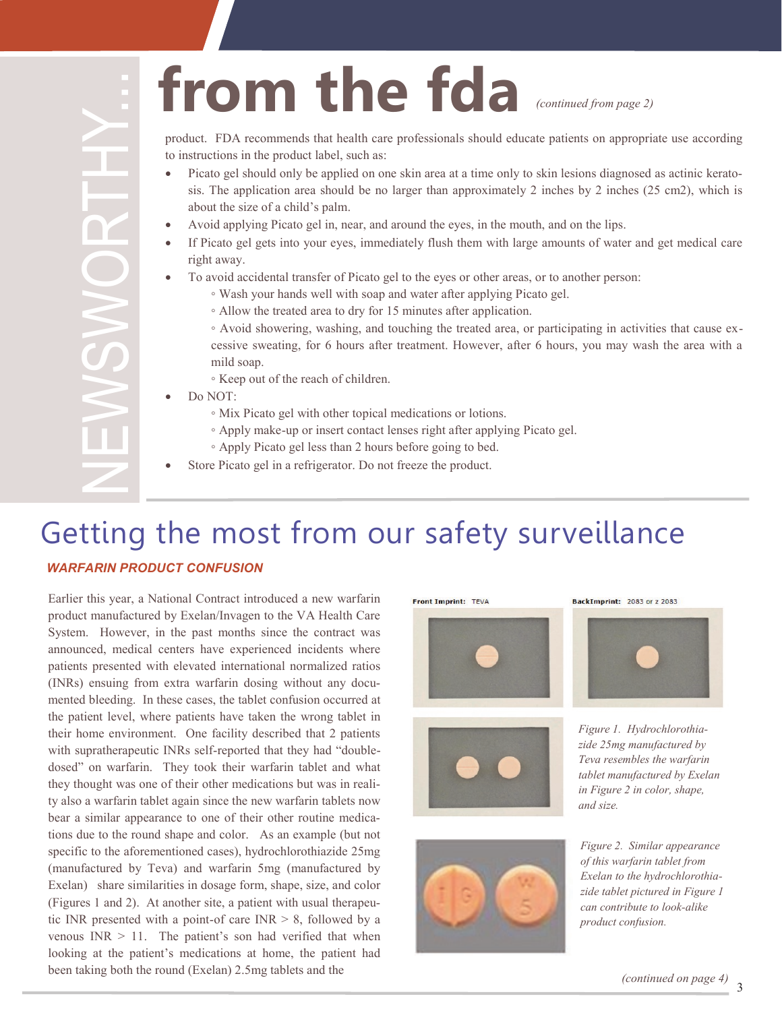# from the fda *(continued from page 2)*

product. FDA recommends that health care professionals should educate patients on appropriate use according to instructions in the product label, such as:

- Picato gel should only be applied on one skin area at a time only to skin lesions diagnosed as actinic keratosis. The application area should be no larger than approximately 2 inches by 2 inches (25 cm2), which is about the size of a child's palm.
- Avoid applying Picato gel in, near, and around the eyes, in the mouth, and on the lips.
- If Picato gel gets into your eyes, immediately flush them with large amounts of water and get medical care right away.
- To avoid accidental transfer of Picato gel to the eyes or other areas, or to another person:
	- Wash your hands well with soap and water after applying Picato gel.
	- Allow the treated area to dry for 15 minutes after application.
	- Avoid showering, washing, and touching the treated area, or participating in activities that cause excessive sweating, for 6 hours after treatment. However, after 6 hours, you may wash the area with a mild soap.
	- Keep out of the reach of children.
- Do NOT:
	- Mix Picato gel with other topical medications or lotions.
	- Apply make-up or insert contact lenses right after applying Picato gel.
	- Apply Picato gel less than 2 hours before going to bed.
- Store Picato gel in a refrigerator. Do not freeze the product.

### Getting the most from our safety surveillance

#### *WARFARIN PRODUCT CONFUSION*

Earlier this year, a National Contract introduced a new warfarin product manufactured by Exelan/Invagen to the VA Health Care System. However, in the past months since the contract was announced, medical centers have experienced incidents where patients presented with elevated international normalized ratios (INRs) ensuing from extra warfarin dosing without any documented bleeding. In these cases, the tablet confusion occurred at the patient level, where patients have taken the wrong tablet in their home environment. One facility described that 2 patients with supratherapeutic INRs self-reported that they had "doubledosed" on warfarin. They took their warfarin tablet and what they thought was one of their other medications but was in reality also a warfarin tablet again since the new warfarin tablets now bear a similar appearance to one of their other routine medications due to the round shape and color. As an example (but not specific to the aforementioned cases), hydrochlorothiazide 25mg (manufactured by Teva) and warfarin 5mg (manufactured by Exelan) share similarities in dosage form, shape, size, and color (Figures 1 and 2). At another site, a patient with usual therapeutic INR presented with a point-of care  $INR > 8$ , followed by a venous  $INR > 11$ . The patient's son had verified that when looking at the patient's medications at home, the patient had **EXECUTE THE REAL STATE SET THE STATE IN THE STATE IN THE STATE IN THE STATE IN THE STATE IN THE STATE IN THE STATE IN THE STATE IN THE STATE IN THE STATE IN THE STATE IN THE STATE IN THE STATE IN THE STATE IN THE STATE I** 

Front Imprint: TEVA







*and size.*



*Figure 1. Hydrochlorothiazide 25mg manufactured by Teva resembles the warfarin tablet manufactured by Exelan in Figure 2 in color, shape,* 

*Figure 2. Similar appearance of this warfarin tablet from Exelan to the hydrochlorothiazide tablet pictured in Figure 1 can contribute to look-alike product confusion.*